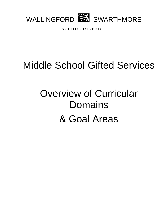

**S C H O O L D I S T R I C T**

## Middle School Gifted Services

# Overview of Curricular Domains & Goal Areas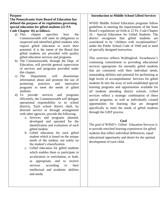#### **Purpose**

#### **The Pennsylvania State Board of Education has defined the purpose of its regulations governing special education for gifted students (22 PA Code Chapter 16) as follows:**

- a) This chapter specifies how the Commonwealth will meet its obligations to suspected and identified gifted students who require gifted education to reach their potential. It is the intent of the Board that gifted students are provided with quality gifted education services and programs.
- b) The Commonwealth, through the Dept. of Education, will provide general supervision of services and programs provided under this chapter.
- c) The Department will disseminate information about and promote the use of promising practices and innovative programs to meet the needs of gifted students.
- d) To provide services and programs efficiently, the Commonwealth will delegate operational responsibility to its school districts. Each school district shall, by directed service or through arrangement with other agencies, provide the following:
	- a. Services and programs planned, developed and operated for the identification and evaluation of each gifted student.
	- b. Gifted education for each gifted student which is based on the unique needs of the student, not solely on the student's classification.
	- c. Gifted education for gifted students which enables them to participate in acceleration or enrichment, or both, as appropriate, and to receive services according to their intellectual and academic abilities and needs.

## **Introduction to Middle School Gifted Services**

WSSD Middle School Education programs follow guidelines in meeting the requirements of the State Board's regulations set forth at 22 Pa. Code Chapter 16 - Special Education for Gifted Students. The district recognizes that gifted students are considered to be "children with exceptionalities" under the Public School Code of 1949 and in need of specially designed instruction.

This overview reflects Wallingford- Swarthmore's continuing commitment to providing educational services appropriate for mentally gifted students that are consistent with their individual needs, outstanding abilities and potential for performing at high levels of accomplishment. Services for gifted students fit into the array of well-established special learning programs and opportunities available for *all* students attending district schools. Gifted services reflect a strategic combination of these special programs, as well as individually created opportunities for learning that are designed specifically to meet the needs of gifted students through the GIEP process.

#### **Goal**

The goal of WSSD's Gifted Education Services is to provide enriched learning experiences for gifted students that reflect individual differences, equal educational opportunity and desire for the optimal development of each child.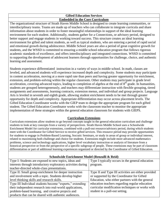#### **Gifted Education Services Embedded in the Core Curriculum**

The organizational structure of Strath Haven Middle School is designed to create learning communities, or interdisciplinary teams. Teams are made up of teachers who can collaborate to integrate curricula and share information about students in order to foster meaningful relationships in support of the ideal learning environment for each student. Additionally, students gather for a Connections, or advisory period, designed to better support and engage students in working toward success. This structure creates an ideal learning environment for gifted and talent students, as well as typical students, who are entering a period of rapid social and emotional growth during adolescence. Middle School years are also a period of great cognitive growth for students, and the WSSD is committed to ensuring a middle school education program that follows rigorous academic standards of excellence, and offers interdisciplinary and integrated connections. WSSD is committed to supporting the development of adolescent learners through opportunities for challenge, choice, and authentic learning and assessment.

Students experience differentiated instruction in a variety of ways in middle school. In math, classes are leveled, and advanced students will experience increased depth and complexity. Some students may participate in content acceleration, moving at a more rapid rate than peers and having greater opportunity for enrichment, extension, and problem-solving within the regular classroom. Other students may participate in grade level acceleration, covering advanced topics, leading to completion of algebra at the end of 8<sup>th</sup> grade. In humanities, students are grouped heterogeneously, and teachers may differentiate instruction with flexible grouping, tiered assignments and assessments, learning contracts, extension menus, and individual and group projects. Language Arts is leveled in seventh and eighth grade, allowing student enrichment needs to be met through greater opportunity for depth and complexity. Appropriate differentiation may occur across placement levels. The Gifted Education Coordinator works with the GIEP team to design the appropriate program for each gifted student. The Gifted Education Coordinator works with the classroom teacher to monitor the appropriate implementation of these strategies within the general education classroom for students with GIEPS.

### **Curriculum Extensions**

Curriculum extensions allow students to go beyond concepts taught in the general education curriculum and challenge students to look at key concepts from a variety of perspectives. Strath Haven Middle School uses a Schoolwide Enrichment Model for curricular extensions, combined with a pull-out resource/advisory period, during which students meet with the Coordinator for Gifted Service to receive gifted services. This resource period may provide opportunities for students to engage in Problem-Based Learning, Socratic Seminars, or study in areas of group or individual interest, related to maximizing both challenge and choice for students. Extensions might include more advanced mathematics problems, science and technology applications, higher level vocabulary instruction or analysis of literature from a historical perspective or from the perspective of a specific subgroup of people. These extensions may be part of classroom differentiation or part of additional learning experiences organized or directed by the Coordinator of Gifted Education.

| Schoolwide Enrichment Model (Renzulli & Reid)                |                                                     |
|--------------------------------------------------------------|-----------------------------------------------------|
| Type I: Students are exposed to new topics, ideas and        | Type I typically occurs in the general education    |
| interests through introductory exploratory activities during | program.                                            |
| teacher-directed whole-class presentations.                  |                                                     |
| Type II: Small group enrichment for deeper instruction       | Type II and Type III activities are either provided |
| and involvement with a topic. Students develop higher        | or supported by the Coordinator for Gifted          |
| level thinking skills and research skills.                   | Education, who either partners with the general     |
| Type III Individual students become "experts," extending     | education teachers regarding regular education      |
| their independent research into real-world applications,     | curricular modification techniques or works with    |
| problem-based learning, and creative projects and            | student in a pull-out setting.                      |
| products that can be shared with authentic audiences.        |                                                     |